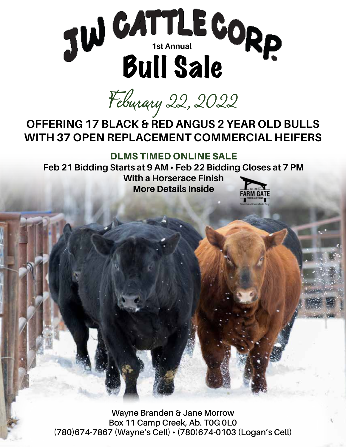

*Feburary 22, 2022*

# **OFFERING 17 BLACK & RED ANGUS 2 YEAR OLD BULLS WITH 37 OPEN REPLACEMENT COMMERCIAL HEIFERS**

#### DLMS TIMED ONLINE SALE

**Feb 21 Bidding Starts at 9 AM • Feb 22 Bidding Closes at 7 PM With a Horserace Finish More Details Inside**

**Wayne Branden & Jane Morrow Box 11 Camp Creek, Ab. T0G 0L0 (780)674-7867 (Wayne's Cell) • (780)674-0103 (Logan's Cell)**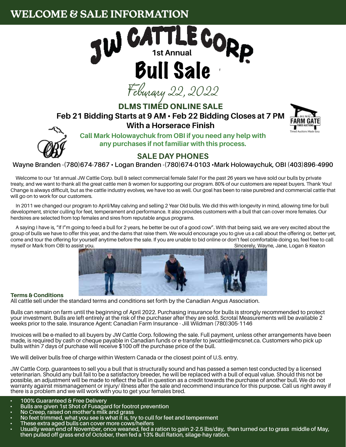## **WELCOME & SALE INFORMATION**



DLMS TIMED ONLINE SALE

#### **Feb 21 Bidding Starts at 9 AM • Feb 22 Bidding Closes at 7 PM With a Horserace Finish**





**Call Mark Holowaychuk from OBI if you need any help with any purchases if not familiar with this process.**

#### **SALE DAY PHONES**

**Wayne Branden -(780)674-7867 • Logan Branden -(780)674-0103 •Mark Holowaychuk, OBI (403)896-4990**

Welcome to our 1st annual JW Cattle Corp. bull & select commercial female Sale! For the past 26 years we have sold our bulls by private treaty, and we want to thank all the great cattle men & women for supporting our program. 80% of our customers are repeat buyers. Thank You! Change is always difficult, but as the cattle industry evolves, we have too as well. Our goal has been to raise purebred and commercial cattle that will go on to work for our customers.

In 2011 we changed our program to April/May calving and selling 2 Year Old bulls. We did this with longevity in mind, allowing time for bull development, stricter culling for feet, temperament and performance. It also provides customers with a bull that can cover more females. Our herdsires are selected from top females and sires from reputable angus programs.

A saying I have is, "If I"m going to feed a bull for 2 years, he better be out of a good cow". With that being said, we are very excited about the group of bulls we have to offer this year, and the dams that raise them. We would encourage you to give us a call about the offering or, better yet, come and tour the offering for yourself anytime before the sale. If you are unable to bid online or don't feel comfortable doing so, feel free to call myself or Mark from OBI to assist you. Sincerely, Wayne, Jane, Logan & Keaton Company of The Street of The Sincerely, Wayne, Jane, Logan & Keaton



#### Terms & Conditions

All cattle sell under the standard terms and conditions set forth by the Canadian Angus Association.

Bulls can remain on farm until the beginning of April 2022. Purchasing insurance for bulls is strongly recommended to protect your investment. Bulls are left entirely at the risk of the purchaser after they are sold. Scrotal Measurements will be available 2 weeks prior to the sale. Insurance Agent: Canadian Farm Insurance - Jill Wildman (780)305-1146

Invoices will be e-mailed to all buyers by JW Cattle Corp. following the sale. Full payment, unless other arrangements have been made, is required by cash or cheque payable in Canadian funds or e-transfer to jwcattle@mcsnet.ca. Customers who pick up bulls within 7 days of purchase will receive \$100 off the purchase price of the bull.

We will deliver bulls free of charge within Western Canada or the closest point of U.S. entry.

JW Cattle Corp. guarantees to sell you a bull that is structurally sound and has passed a semen test conducted by a licensed veterinarian. Should any bull fail to be a satisfactory breeder, he will be replaced with a bull of equal value. Should this not be possible, an adjustment will be made to reflect the bull in question as a credit towards the purchase of another bull. We do not warranty against mismanagement or injury/ illness after the sale and recommend insurance for this purpose. Call us right away if there is a problem and we will work with you to get your females bred.

- **• 100% Guaranteed & Free Delivery**
- **• Bulls are given 1st Shot of Fusagard for footrot prevention**
- 
- **• No Creep, raised on mother's milk and grass**
- 
- No feet trimmed, what you see is what it is, try to cull for feet and temperment<br>• These extra aged bulls can cover more cows/heifers<br>• Usually wean end of November, once weaned, fed a ration to gain 2-2 **then pulled off grass end of October, then fed a 13% Bull Ration, silage-hay ration.**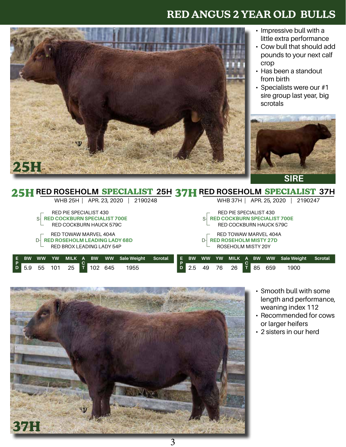

- Impressive bull with a little extra performance
- Cow bull that should add pounds to your next calf crop
- Has been a standout from birth
- Specialists were our #1 sire group last year, big scrotals



**SIRE**

|                           |                                                         |           |           |                                     |      |           |               | 25H RED ROSEHOLM SPECIALIST 25H 37H RED ROSEHOLM SPECIALIST 37H |         |    |           |           |                         |                                     |   |           |               |                    |                |  |
|---------------------------|---------------------------------------------------------|-----------|-----------|-------------------------------------|------|-----------|---------------|-----------------------------------------------------------------|---------|----|-----------|-----------|-------------------------|-------------------------------------|---|-----------|---------------|--------------------|----------------|--|
|                           |                                                         |           |           | WHB 25H                             |      |           | APR. 23, 2020 | 2190248                                                         |         |    |           |           |                         | <b>WHB 37H 1</b>                    |   |           | APR. 25, 2020 |                    | 2190247        |  |
|                           |                                                         |           |           | RED PIE SPECIALIST 430              |      |           |               |                                                                 |         |    |           |           |                         | RED PIE SPECIALIST 430              |   |           |               |                    |                |  |
|                           |                                                         | S-        |           | <b>RED COCKBURN SPECIALIST 700E</b> |      |           |               |                                                                 |         |    |           | S-        |                         | <b>RED COCKBURN SPECIALIST 700E</b> |   |           |               |                    |                |  |
|                           |                                                         |           |           | RED COCKBURN HAUCK 579C             |      |           |               |                                                                 |         |    |           |           | RED COCKBURN HAUCK 579C |                                     |   |           |               |                    |                |  |
| RED TOWAW MARVEL 404A     |                                                         |           |           |                                     |      |           |               |                                                                 |         |    |           |           |                         | RED TOWAW MARVEL 404A               |   |           |               |                    |                |  |
|                           | <b>RED ROSEHOLM LEADING LADY 68D</b><br>$\mathsf{D}$ -l |           |           |                                     |      |           |               |                                                                 |         |    |           | $D-$      |                         | <b>RED ROSEHOLM MISTY 27D</b>       |   |           |               |                    |                |  |
| RED BROX LEADING LADY 54P |                                                         |           |           |                                     |      |           |               |                                                                 |         |    |           |           |                         | ROSEHOLM MISTY 20Y                  |   |           |               |                    |                |  |
|                           | <b>BW</b>                                               | <b>WW</b> | <b>YW</b> | <b>MILK</b>                         | - A' | <b>BW</b> | <b>WW</b>     | <b>Sale Weight</b>                                              | Scrotal | E. | <b>BW</b> | <b>WW</b> | <b>YW</b>               | MILK                                | A | <b>BW</b> | <b>WW</b>     | <b>Sale Weight</b> | <b>Scrotal</b> |  |
|                           |                                                         |           |           |                                     |      |           |               |                                                                 |         | D  |           |           |                         |                                     |   |           |               |                    |                |  |
|                           | 5.9                                                     | 55        | 101       | 25                                  |      |           | 645           | 1955                                                            |         | D  | 2.5       | 49        | 76                      | 26                                  |   | 85        | 659           | 1900               |                |  |



- Smooth bull with some length and performance, weaning index 112
- Recommended for cows or larger heifers
- 2 sisters in our herd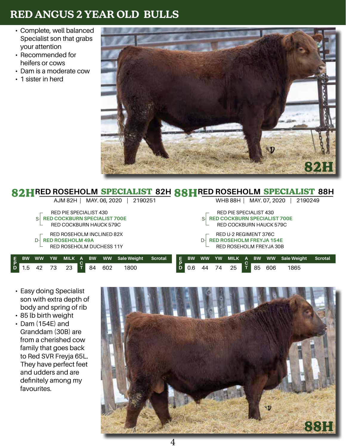- Complete, well balanced Specialist son that grabs your attention
- Recommended for heifers or cows
- Dam is a moderate cow
- 1 sister in herd



|               |                                     |           |           |                                     |  |           |               | <b>82HRED ROSEHOLM SPECIALIST 82H R&amp;HRED ROSEHOLM SPECIALIST 88H</b> |                |         |           |           |           |                                     |           |               |                    |                |
|---------------|-------------------------------------|-----------|-----------|-------------------------------------|--|-----------|---------------|--------------------------------------------------------------------------|----------------|---------|-----------|-----------|-----------|-------------------------------------|-----------|---------------|--------------------|----------------|
|               |                                     |           |           | AJM 82H                             |  |           | MAY. 06, 2020 | 2190251                                                                  |                |         |           |           |           | WHB 88H                             |           | MAY. 07, 2020 | 2190249            |                |
|               |                                     |           |           | RED PIE SPECIALIST 430              |  |           |               |                                                                          |                |         |           |           |           | RED PIE SPECIALIST 430              |           |               |                    |                |
|               |                                     | S-        |           | <b>RED COCKBURN SPECIALIST 700E</b> |  |           |               |                                                                          |                |         |           |           |           | <b>RED COCKBURN SPECIALIST 700E</b> |           |               |                    |                |
|               | RED COCKBURN HAUCK 579C             |           |           |                                     |  |           |               |                                                                          |                |         |           |           |           | RED COCKBURN HAUCK 579C             |           |               |                    |                |
|               | RED ROSEHOLM INCLINED 82X           |           |           |                                     |  |           |               |                                                                          |                |         |           |           |           | RED U-2 REGIMENT 376C               |           |               |                    |                |
|               | <b>RED ROSEHOLM 49A</b><br>$\Gamma$ |           |           |                                     |  |           |               |                                                                          |                |         |           |           |           | <b>RED ROSEHOLM FREYJA 154E</b>     |           |               |                    |                |
|               | RED ROSEHOLM DUCHESS 11Y            |           |           |                                     |  |           |               |                                                                          |                |         |           |           |           | RED ROSEHOLM FREYJA 30B             |           |               |                    |                |
|               |                                     |           |           |                                     |  |           |               |                                                                          |                |         |           |           |           |                                     |           |               |                    |                |
| $\frac{E}{P}$ | <b>BW</b>                           | <b>WW</b> | <b>YW</b> | MILK A                              |  | <b>BW</b> | <b>WW</b>     | <b>Sale Weight</b>                                                       | <b>Scrotal</b> | E.<br>D | <b>BW</b> | <b>WW</b> | <b>YW</b> | MILK A                              | <b>BW</b> | <b>WW</b>     | <b>Sale Weight</b> | <b>Scrotal</b> |
|               | .5                                  | 42        | 73        | 23                                  |  | 84        | 602           | 1800                                                                     |                |         | 0.6       | 44        | 74        | 25                                  | 85        | 606           | 1865               |                |

- Easy doing Specialist son with extra depth of body and spring of rib
- 85 lb birth weight
- Dam (154E) and Granddam (30B) are from a cherished cow family that goes back to Red SVR Freyja 65L. They have perfect feet and udders and are definitely among my favourites.

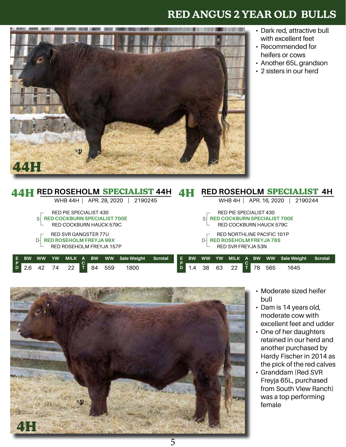

- Dark red, attractive bull with excellent feet
- Recommended for heifers or cows
- Another 65L grandson
- 2 sisters in our herd

|                          |                                                                       |           |           |                        |  |           |               | RED ROSEHOLM SPECIALIST 44H |         |         |                            |           |    |                                     |   |           |               | RED ROSEHOLM SPECIALIST 4H |                |  |
|--------------------------|-----------------------------------------------------------------------|-----------|-----------|------------------------|--|-----------|---------------|-----------------------------|---------|---------|----------------------------|-----------|----|-------------------------------------|---|-----------|---------------|----------------------------|----------------|--|
|                          |                                                                       |           |           | WHB 44H                |  |           | APR. 28, 2020 | 2190245                     |         |         |                            |           |    | WHB 4H                              |   |           | APR. 16, 2020 | 2190244                    |                |  |
|                          |                                                                       |           |           | RED PIE SPECIALIST 430 |  |           |               |                             |         |         |                            |           |    | RED PIE SPECIALIST 430              |   |           |               |                            |                |  |
|                          | <b>RED COCKBURN SPECIALIST 700E</b><br>S-l<br>RED COCKBURN HAUCK 579C |           |           |                        |  |           |               |                             |         |         |                            | S-        |    | <b>RED COCKBURN SPECIALIST 700E</b> |   |           |               |                            |                |  |
|                          |                                                                       |           |           |                        |  |           |               |                             |         |         |                            |           |    | RED COCKBURN HAUCK 579C             |   |           |               |                            |                |  |
|                          |                                                                       |           |           |                        |  |           |               |                             |         |         | RED NORTHLINE PACIFIC 101P |           |    |                                     |   |           |               |                            |                |  |
|                          | RED SVR GANGSTER 77U<br><b>RED ROSEHOLM FREYJA 99X</b><br>D-l         |           |           |                        |  |           |               |                             |         |         |                            | $D-$      |    | <b>RED ROSEHOLM FREYJA 76S</b>      |   |           |               |                            |                |  |
| RED ROSEHOLM FREYJA 157P |                                                                       |           |           |                        |  |           |               |                             |         |         |                            |           |    | <b>RED SVR FREYJA 53N</b>           |   |           |               |                            |                |  |
|                          |                                                                       |           |           |                        |  |           |               |                             |         |         |                            |           |    |                                     |   |           |               |                            |                |  |
|                          | <b>BW</b>                                                             | <b>WW</b> | <b>YW</b> | MILK A                 |  | <b>BW</b> | <b>WW</b>     | Sale Weight                 | Scrotal | E.<br>D | <b>BW</b>                  | <b>WW</b> | YW | <b>MILK</b>                         | A | <b>BW</b> | <b>WW</b>     | <b>Sale Weight</b>         | <b>Scrotal</b> |  |
|                          | 2.6                                                                   | 42        | 74        | 22                     |  | 84        | 559           | 1800                        |         |         | . .4                       | 38        | 63 | 22                                  |   | 78        | 565           | 1645                       |                |  |



- Moderate sized heifer bull
- Dam is 14 years old, moderate cow with excellent feet and udder
- One of her daughters retained in our herd and another purchased by Hardy Fischer in 2014 as the pick of the red calves
- Granddam (Red SVR Freyja 65L, purchased from South VIew Ranch) was a top performing female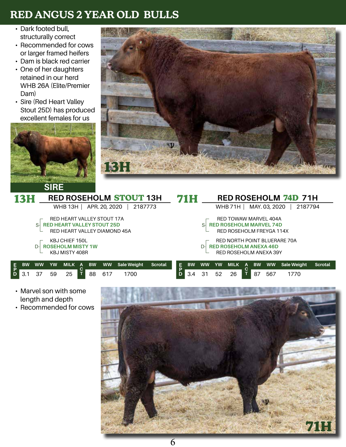- Dark footed bull, structurally correct
- Recommended for cows or larger framed heifers
- Dam is black red carrier
- One of her daughters retained in our herd WHB 26A (Elite/Premier Dam)
- Sire (Red Heart Valley Stout 25D) has produced excellent females for us





|        |           |           | ----      |                                   |   |           |               |                               |         |   |           |           |                        |                                |   |           |               |                              |                |
|--------|-----------|-----------|-----------|-----------------------------------|---|-----------|---------------|-------------------------------|---------|---|-----------|-----------|------------------------|--------------------------------|---|-----------|---------------|------------------------------|----------------|
|        | 131       |           |           |                                   |   |           |               | <b>RED ROSEHOLM STOUT 13H</b> |         |   | 71H       |           |                        |                                |   |           |               | <b>RED ROSEHOLM 74D 71H</b>  |                |
|        |           |           |           | WHB 13H $\vert$                   |   |           | APR. 20, 2020 | 2187773                       |         |   |           |           |                        | <b>WHB 71H</b>                 |   |           | MAY. 03, 2020 | 2187794                      |                |
|        |           |           |           | RED HEART VALLEY STOUT 17A        |   |           |               |                               |         |   |           |           |                        | RED TOWAW MARVEL 404A          |   |           |               |                              |                |
|        |           | S-        |           | <b>RED HEART VALLEY STOUT 25D</b> |   |           |               |                               |         |   |           | S-        |                        | <b>RED ROSEHOLM MARVEL 74D</b> |   |           |               |                              |                |
|        |           |           |           | RED HEART VALLEY DIAMOND 45A      |   |           |               |                               |         |   |           |           |                        | RED ROSEHOLM FREYGA 114X       |   |           |               |                              |                |
|        |           |           |           | <b>KBJ CHIEF 150L</b>             |   |           |               |                               |         |   |           |           |                        |                                |   |           |               | RED NORTH POINT BLUERARE 70A |                |
|        |           | $D-$      |           | <b>ROSEHOLM MISTY 1W</b>          |   |           |               |                               |         |   |           | $D-I$     |                        | <b>RED ROSEHOLM ANEXA 46D</b>  |   |           |               |                              |                |
|        |           |           |           |                                   |   |           |               |                               |         |   |           |           |                        |                                |   |           |               |                              |                |
|        |           |           |           | KBJ MISTY 408R                    |   |           |               |                               |         |   |           |           | RED ROSEHOLM ANEXA 39Y |                                |   |           |               |                              |                |
|        |           |           |           |                                   |   |           |               |                               |         |   |           |           |                        |                                |   |           |               |                              |                |
| Е      | <b>BW</b> | <b>WW</b> | <b>YW</b> | MILK A                            |   | <b>BW</b> | <b>WW</b>     | <b>Sale Weight</b>            | Scrotal | E | <b>BW</b> | <b>WW</b> | <b>YW</b>              | <b>MILK</b>                    | A | <b>BW</b> | <b>WW</b>     | <b>Sale Weight</b>           | <b>Scrotal</b> |
| P<br>D | 3.1       | 37        | 59        | 25                                | т | 88        | 617           | 1700                          |         |   | 3.4       | 31        | 52                     | 26                             | T | 87        | 567           | 1770                         |                |

- Marvel son with some length and depth
- Recommended for cows

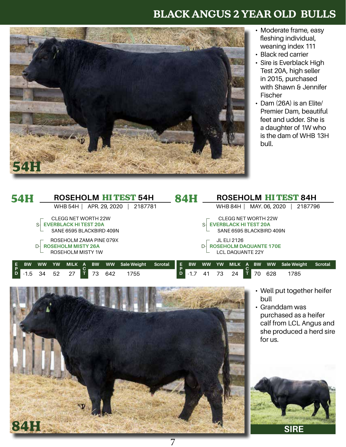

- Moderate frame, easy fleshing individual, weaning index 111
- Black red carrier
- Sire is Everblack High Test 20A, high seller in 2015, purchased with Shawn & Jennifer Fischer
- Dam (26A) is an Elite/ Premier Dam, beautiful feet and udder. She is a daughter of 1W who is the dam of WHB 13H bull.

|            | <b>54H</b> |           |    |                             |   |           |               | <b>ROSEHOLM HITEST 54H</b> |                | <b>84H</b> |           |           |             |                               |           |               | <b>ROSEHOLM HITEST 84H</b> |                |
|------------|------------|-----------|----|-----------------------------|---|-----------|---------------|----------------------------|----------------|------------|-----------|-----------|-------------|-------------------------------|-----------|---------------|----------------------------|----------------|
|            |            |           |    | WHB 54H                     |   |           | APR. 29, 2020 | 2187781                    |                |            |           |           |             | WHB 84H                       |           | MAY. 06, 2020 | 2187796                    |                |
|            |            |           |    | <b>CLEGG NET WORTH 22W</b>  |   |           |               |                            |                |            |           |           |             | CLEGG NET WORTH 22W           |           |               |                            |                |
|            |            | S-        |    | <b>EVERBLACK HITEST 20A</b> |   |           |               |                            |                |            |           |           |             | <b>EVERBLACK HITEST 20A</b>   |           |               |                            |                |
|            |            |           |    | SANE 6595 BLACKBIRD 409N    |   |           |               |                            |                |            |           |           |             | SANE 6595 BLACKBIRD 409N      |           |               |                            |                |
|            |            |           |    | ROSEHOLM ZAMA PINE 079X     |   |           |               |                            |                |            |           |           | JL ELI 2126 |                               |           |               |                            |                |
|            |            |           |    | <b>ROSEHOLM MISTY 26A</b>   |   |           |               |                            |                |            |           |           |             | <b>ROSEHOLM DAQUANTE 170E</b> |           |               |                            |                |
|            |            |           |    | ROSEHOLM MISTY 1W           |   |           |               |                            |                |            |           |           |             | <b>LCL DAOUANTE 22Y</b>       |           |               |                            |                |
|            |            |           |    |                             |   |           |               |                            |                |            |           |           |             |                               |           |               |                            |                |
| E.<br>7 P. | <b>BW</b>  | <b>WW</b> | YW | <b>MILK</b>                 | A | <b>BW</b> | <b>WW</b>     | Sale Weight                | <b>Scrotal</b> | E.         | <b>BW</b> | <b>WW</b> | <b>YW</b>   | MILK A                        | <b>BW</b> | <b>WW</b>     | Sale Weight                | <b>Scrotal</b> |
| D          | $-1.5$     | 34        | 52 | 27                          |   | 73        | 642           | 1755                       |                |            | $-1.7$    | 41        | 73          | 24                            | 70        | 628           | 1785                       |                |

7



• Well put together heifer bull

• Granddam was purchased as a heifer calf from LCL Angus and she produced a herd sire for us.



**SIRE**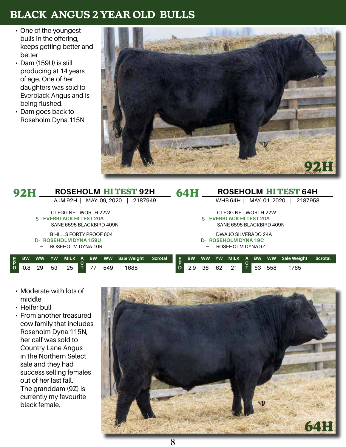- One of the youngest bulls in the offering, keeps getting better and better
- Dam (159U) is still producing at 14 years of age. One of her daughters was sold to Everblack Angus and is being flushed.
- Dam goes back to Roseholm Dyna 115N



|         | <b>92H</b> |           |           |                                                                                       |   |           |               | ROSEHOLM HITEST 92H |                |         | <b>64H</b> |           |           |                                                                                       |   |           |               | <b>ROSEHOLM HITEST 64H</b> |                |
|---------|------------|-----------|-----------|---------------------------------------------------------------------------------------|---|-----------|---------------|---------------------|----------------|---------|------------|-----------|-----------|---------------------------------------------------------------------------------------|---|-----------|---------------|----------------------------|----------------|
|         |            |           |           | AJM 92H                                                                               |   |           | MAY. 09, 2020 | 2187949             |                |         |            |           |           | WHB 64H                                                                               |   |           | MAY. 01, 2020 | 2187958                    |                |
|         |            | S-        |           | <b>CLEGG NET WORTH 22W</b><br><b>EVERBLACK HITEST 20A</b><br>SANE 6595 BLACKBIRD 409N |   |           |               |                     |                |         |            |           |           | <b>CLEGG NET WORTH 22W</b><br><b>EVERBLACK HITEST 20A</b><br>SANE 6595 BLACKBIRD 409N |   |           |               |                            |                |
|         |            |           |           | B HILLS FORTY PROOF 604<br><b>ROSEHOLM DYNA 159U</b><br>ROSEHOLM DYNA 10R             |   |           |               |                     |                |         |            |           |           | DWAJO SILVERADO 24A<br><b>ROSEHOLM DYNA 19C</b><br>ROSEHOLM DYNA 9Z                   |   |           |               |                            |                |
| E.<br>P | <b>BW</b>  | <b>WW</b> | <b>YW</b> | MILK                                                                                  | A | <b>BW</b> | <b>WW</b>     | <b>Sale Weight</b>  | <b>Scrotal</b> | E.<br>D | <b>BW</b>  | <b>WW</b> | <b>YW</b> | <b>MILK</b>                                                                           | A | <b>BW</b> | <b>WW</b>     | <b>Sale Weight</b>         | <b>Scrotal</b> |
| D       | $-0.8$     | 29        | 53        | 25                                                                                    |   |           | 549           | 1685                |                |         | $-2.9$     | 36        | 62        |                                                                                       |   | 63        | 558           | 1765                       |                |

- Moderate with lots of middle
- Heifer bull
- From another treasured cow family that includes Roseholm Dyna 115N, her calf was sold to Country Lane Angus in the Northern Select sale and they had success selling females out of her last fall. The granddam (9Z) is currently my favourite black female.

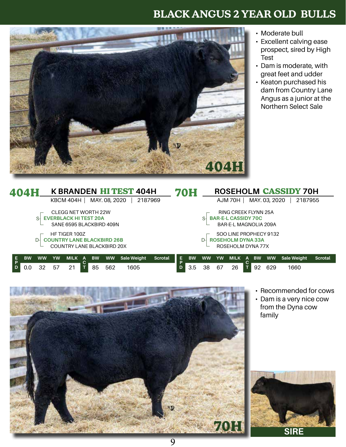

- Moderate bull
- Excellent calving ease prospect, sired by High Test
- Dam is moderate, with great feet and udder
- Keaton purchased his dam from Country Lane Angus as a junior at the Northern Select Sale

|   | <b>404H</b>                |           |           |                                   |    |           |               | <b>K BRANDEN HITEST 404H</b> |         |         | 70H       |           |                        |                             |           |               | <b>ROSEHOLM CASSIDY 70H</b> |                |  |
|---|----------------------------|-----------|-----------|-----------------------------------|----|-----------|---------------|------------------------------|---------|---------|-----------|-----------|------------------------|-----------------------------|-----------|---------------|-----------------------------|----------------|--|
|   |                            |           |           | KBCM 404H                         |    |           | MAY. 08, 2020 | 2187969                      |         |         |           |           |                        | AJM 70H 1                   |           | MAY. 03, 2020 | 2187955                     |                |  |
|   |                            |           |           | <b>CLEGG NET WORTH 22W</b>        |    |           |               |                              |         |         |           |           |                        | <b>RING CREEK FLYNN 25A</b> |           |               |                             |                |  |
|   |                            | S-        |           | <b>EVERBLACK HITEST 20A</b>       |    |           |               |                              |         |         |           |           |                        | <b>BAR-E-L CASSIDY 70C</b>  |           |               |                             |                |  |
|   |                            |           |           | SANE 6595 BLACKBIRD 409N          |    |           |               |                              |         |         |           |           |                        | BAR-E-L MAGNOLIA 209A       |           |               |                             |                |  |
|   |                            |           |           | HF TIGER 100Z                     |    |           |               |                              |         |         |           |           | SOO LINE PROPHECY 9132 |                             |           |               |                             |                |  |
|   |                            | $D-$      |           | <b>COUNTRY LANE BLACKBIRD 26B</b> |    |           |               |                              |         |         |           |           |                        | <b>ROSEHOLM DYNA 33A</b>    |           |               |                             |                |  |
|   | COUNTRY LANE BLACKBIRD 20X |           |           |                                   |    |           |               |                              |         |         |           |           |                        | ROSEHOLM DYNA 77X           |           |               |                             |                |  |
|   |                            |           |           |                                   |    |           |               |                              |         |         |           |           |                        |                             |           |               |                             |                |  |
| Е | <b>BW</b>                  | <b>WW</b> | <b>YW</b> | MILK                              | A  | <b>BW</b> | <b>WW</b>     | <b>Sale Weight</b>           | Scrotal | E.<br>Ð | <b>BW</b> | <b>WW</b> | <b>YW</b>              | MILK A                      | <b>BW</b> | <b>WW</b>     | Sale Weight                 | <b>Scrotal</b> |  |
|   | 0.0                        | 32        | 57        | 21                                | 85 | 562       | 1605          |                              |         | 3.5     | 38        | 67        | 26                     | 92                          | 629       | 1660          |                             |                |  |



- Recommended for cows
- Dam is a very nice cow from the Dyna cow family

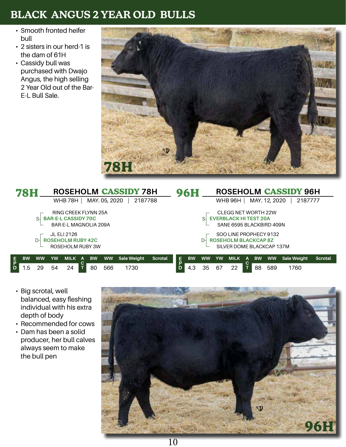- Smooth fronted heifer bull
- 2 sisters in our herd-1 is the dam of 61H
- Cassidy bull was purchased with Dwajo Angus, the high selling 2 Year Old out of the Bar-E-L Bull Sale.



|   | 78H          |           |           |                             |           |               | <b>ROSEHOLM CASSIDY 78H</b> |                |    | <b>96H</b> |           |           |                             |   |           |               | ROSEHOLM CASSIDY 96H |                |  |
|---|--------------|-----------|-----------|-----------------------------|-----------|---------------|-----------------------------|----------------|----|------------|-----------|-----------|-----------------------------|---|-----------|---------------|----------------------|----------------|--|
|   |              |           |           | <b>WHB 78H</b>              |           | MAY. 05, 2020 | 2187788                     |                |    |            |           |           | WHB 96H                     |   |           | MAY. 12, 2020 | 2187777              |                |  |
|   |              |           |           | <b>RING CREEK FLYNN 25A</b> |           |               |                             |                |    |            |           |           | <b>CLEGG NET WORTH 22W</b>  |   |           |               |                      |                |  |
|   |              | S-        |           | <b>BAR-E-L CASSIDY 70C</b>  |           |               |                             |                |    |            |           |           | <b>EVERBLACK HITEST 20A</b> |   |           |               |                      |                |  |
|   |              |           |           | BAR-E-L MAGNOLIA 209A       |           |               |                             |                |    |            |           |           | SANE 6595 BLACKBIRD 409N    |   |           |               |                      |                |  |
|   |              |           |           | JL ELI 2126                 |           |               |                             |                |    |            |           |           | SOO LINE PROPHECY 9132      |   |           |               |                      |                |  |
|   |              | D-        |           | <b>ROSEHOLM RUBY 42C</b>    |           |               |                             |                |    |            |           |           | <b>ROSEHOLM BLACKCAP 8Z</b> |   |           |               |                      |                |  |
|   |              |           |           | ROSEHOLM RUBY 3W            |           |               |                             |                |    |            |           |           | SILVER DOME BLACKCAP 137M   |   |           |               |                      |                |  |
|   | <b>BW</b>    | <b>WW</b> | <b>YW</b> | MILK A                      | <b>BW</b> | <b>WW</b>     | <b>Sale Weight</b>          | <b>Scrotal</b> | E. | <b>BW</b>  | <b>WW</b> | <b>YW</b> | <b>MILK</b>                 | A | <b>BW</b> | <b>WW</b>     | Sale Weight          | <b>Scrotal</b> |  |
| D |              |           |           |                             |           |               |                             |                |    |            |           |           |                             |   |           |               |                      |                |  |
|   | $.5^{\circ}$ | 29        | 54        | 24                          | 80        | 566           | 1730                        |                |    | 4.3        | 35        | 67        | 22                          |   | 88        | 589           | 1760                 |                |  |

- Big scrotal, well balanced, easy fleshing individual with his extra depth of body
- Recommended for cows
- Dam has been a solid producer, her bull calves always seem to make the bull pen

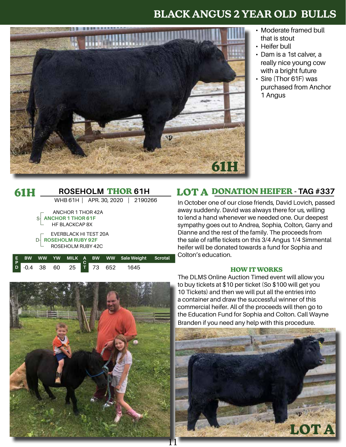

- Moderate framed bull that is stout
- Heifer bull
- Dam is a 1st calver, a really nice young cow with a bright future
- Sire (Thor 61F) was purchased from Anchor 1 Angus

#### **ROSEHOLM THOR 61H** WHB 61H | APR. 30, 2020 | 2190266 **61H E P BW WW YW MILK A C BW WW Sale Weight Scrotal** ANCHOR 1 THOR 42A **ANCHOR 1 THOR 61F** HF BLACKCAP 8X EVERBLACK HI TEST 20A **ROSEHOLM RUBY 92F**  D-ROSEHOLM RUBY 42C S-

**T**

38 60 25 T 73 652 1645

**D**

#### **LOT A DONATION HEIFER - TAG #337**

In October one of our close friends, David Lovich, passed away suddenly. David was always there for us, willing to lend a hand whenever we needed one. Our deepest sympathy goes out to Andrea, Sophia, Colton, Garry and Dianne and the rest of the family. The proceeds from the sale of raffle tickets on this 3/4 Angus 1/4 Simmental heifer will be donated towards a fund for Sophia and Colton's education.

#### **HOW IT WORKS**



The DLMS Online Auction Timed event will allow you to buy tickets at \$10 per ticket (So \$100 will get you 10 Tickets) and then we will put all the entries into a container and draw the successful winner of this commercial heifer. All of the proceeds will then go to the Education Fund for Sophia and Colton. Call Wayne Branden if you need any help with this procedure.